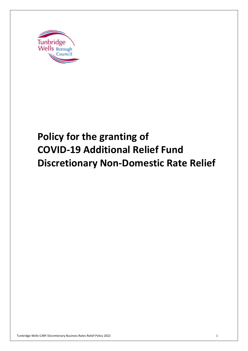

# **Discretionary Non-Domestic Rate Relief Policy for the granting of COVID-19 Additional Relief Fund**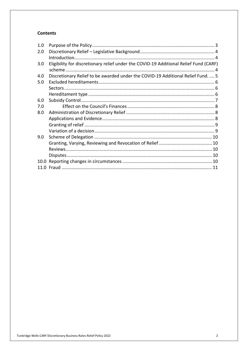### **Contents**

| Eligibility for discretionary relief under the COVID-19 Additional Relief Fund (CARF)<br>Discretionary Relief to be awarded under the COVID-19 Additional Relief Fund.  5 |
|---------------------------------------------------------------------------------------------------------------------------------------------------------------------------|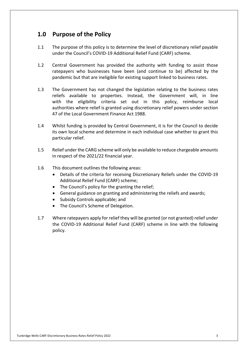## **1.0 Purpose of the Policy**

- $1.1$  under the Council's COVID-19 Additional Relief Fund (CARF) scheme. The purpose of this policy is to determine the level of discretionary relief payable
- $1.2$  ratepayers who businesses have been (and continue to be) affected by the pandemic but that are ineligible for existing support linked to business rates. Central Government has provided the authority with funding to assist those
- $1.3$  reliefs available to properties. Instead, the Government will, in line with the eligibility criteria set out in this policy, reimburse local authorities where relief is granted using discretionary relief powers under section 47 of the Local Government Finance Act 1988. The Government has not changed the legislation relating to the business rates
- 1.4 Whilst funding is provided by Central Government, it is for the Council to decide its own local scheme and determine in each individual case whether to grant this particular relief.
- $1.5$  in respect of the 2021/22 financial year. Relief under the CARG scheme will only be available to reduce chargeable amounts
- $1.6$ This document outlines the following areas:
	- • Details of the criteria for receiving Discretionary Reliefs under the COVID-19 Additional Relief Fund (CARF) scheme;
	- The Council's policy for the granting the relief;
	- General guidance on granting and administering the reliefs and awards;
	- Subsidy Controls applicable; and
	- The Council's Scheme of Delegation.
- 1.7 Where ratepayers apply for relief they will be granted (or not granted) relief under the COVID-19 Additional Relief Fund (CARF) scheme in line with the following policy.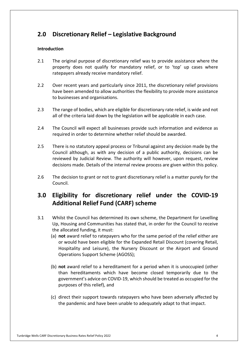# **2.0 Discretionary Relief – Legislative Background**

### **Introduction**

- $2.1$  property does not qualify for mandatory relief, or to 'top' up cases where ratepayers already receive mandatory relief. The original purpose of discretionary relief was to provide assistance where the
- $2.2$  have been amended to allow authorities the flexibility to provide more assistance to businesses and organisations. Over recent years and particularly since 2011, the discretionary relief provisions
- $2.3$  all of the criteria laid down by the legislation will be applicable in each case. 2.3 The range of bodies, which are eligible for discretionary rate relief, is wide and not
- $2.4$  required in order to determine whether relief should be awarded. 2.4 The Council will expect all businesses provide such information and evidence as
- 2.5 Council although, as with any decision of a public authority, decisions can be reviewed by Judicial Review. The authority will however, upon request, review decisions made. Details of the internal review process are given within this policy. 2.5 There is no statutory appeal process or Tribunal against any decision made by the
- $2.6$  Council. The decision to grant or not to grant discretionary relief is a matter purely for the

# **3.0 Eligibility for discretionary relief under the COVID-19 Additional Relief Fund (CARF) scheme**

- 3.1 Whilst the Council has determined its own scheme, the Department for Levelling Up, Housing and Communities has stated that, in order for the Council to receive the allocated funding, it must:
	- (a) **not** award relief to ratepayers who for the same period of the relief either are or would have been eligible for the Expanded Retail Discount (covering Retail, Hospitality and Leisure), the Nursery Discount or the Airport and Ground Operations Support Scheme (AGOSS);
	- (b) **not** award relief to a hereditament for a period when it is unoccupied (other than hereditaments which have become closed temporarily due to the government's advice on COVID-19, which should be treated as occupied for the purposes of this relief), and
	- (c) direct their support towards ratepayers who have been adversely affected by the pandemic and have been unable to adequately adapt to that impact.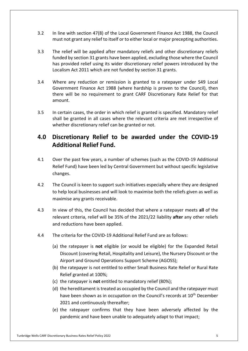- $3.2$  must not grant any relief to itself or to either local or major precepting authorities. In line with section 47(8) of the Local Government Finance Act 1988, the Council
- $3.3$  funded by section 31 grants have been applied, excluding those where the Council Localism Act 2011 which are not funded by section 31 grants. The relief will be applied after mandatory reliefs and other discretionary reliefs has provided relief using its wider discretionary relief powers introduced by the
- $3.4$  Government Finance Act 1988 (where hardship is proven to the Council), then there will be no requirement to grant CARF Discretionary Rate Relief for that amount. 3.4 Where any reduction or remission is granted to a ratepayer under S49 Local
- $3.5$  shall be granted in all cases where the relevant criteria are met irrespective of whether discretionary relief can be granted or not. In certain cases, the order in which relief is granted is specified. Mandatory relief

# **4.0 Discretionary Relief to be awarded under the COVID-19 Additional Relief Fund.**

- $4.1$  Relief Fund) have been led by Central Government but without specific legislative changes. Over the past few years, a number of schemes (such as the COVID-19 Additional
- $4.2$  to help local businesses and will look to maximise both the reliefs given as well as maximise any grants receivable. The Council is keen to support such initiatives especially where they are designed
- $4.3$  relevant criteria, relief will be 35% of the 2021/22 liability **after** any other reliefs and reductions have been applied. 4.3 In view of this, the Council has decided that where a ratepayer meets **all** of the
- $4.4$ The criteria for the COVID-19 Additional Relief Fund are as follows:
	- (a) the ratepayer is **not** eligible (or would be eligible) for the Expanded Retail Discount (covering Retail, Hospitality and Leisure), the Nursery Discount or the Airport and Ground Operations Support Scheme (AGOSS);
	- (b) the ratepayer is not entitled to either Small Business Rate Relief or Rural Rate Relief granted at 100%;
	- (c) the ratepayer is **not** entitled to mandatory relief (80%);
	- (d) the hereditament is treated as occupied by the Council and the ratepayer must have been shown as in occupation on the Council's records at 10<sup>th</sup> December 2021 and continuously thereafter;
	- (e) the ratepayer confirms that they have been adversely affected by the pandemic and have been unable to adequately adapt to that impact;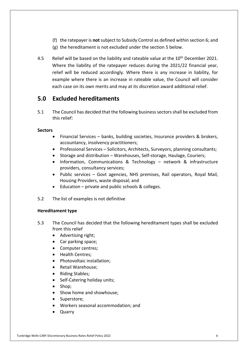- (f) the ratepayer is **not** subject to Subsidy Control as defined within section 6; and
- (g) the hereditament is not excluded under the section 5 below.
- $4.5$  Where the liability of the ratepayer reduces during the 2021/22 financial year, relief will be reduced accordingly. Where there is any increase in liability, for example where there is an increase in rateable value, the Council will consider each case on its own merits and may at its discretion award additional relief. Relief will be based on the liability and rateable value at the 10<sup>th</sup> December 2021.

## **5.0 Excluded hereditaments**

 $5.1$  this relief: The Council has decided that the following business sectors shall be excluded from

## **Sectors**

- • Financial Services banks, building societies, Insurance providers & brokers, accountancy, insolvency practitioners;
- Professional Services Solicitors, Architects, Surveyors, planning consultants;
- Storage and distribution Warehouses, Self-storage, Haulage, Couriers;
- • Information, Communications & Technology network & infrastructure providers, consultancy services;
- • Public services Govt agencies, NHS premises, Rail operators, Royal Mail, Housing Providers, waste disposal; and
- Education private and public schools & colleges.
- $5.2$ The list of examples is not definitive

## **Hereditament type**

- $5.3$  from this relief The Council has decided that the following hereditament types shall be excluded
	- Advertising right;
	- Car parking space;
	- Computer centres;
	- Health Centres;
	- Photovoltaic installation;
	- Retail Warehouse;
	- Riding Stables;
	- Self-Catering holiday units;
	- Shop;
	- Show home and showhouse;
	- Superstore;
	- Workers seasonal accommodation; and
	- Quarry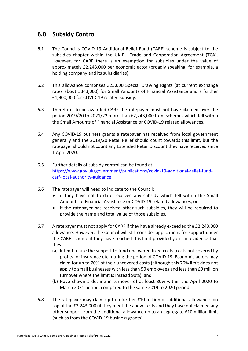# **6.0 Subsidy Control**

- 6.1 The Council's COVID-19 Additional Relief Fund (CARF) scheme is subject to the subsidies chapter within the UK-EU Trade and Cooperation Agreement (TCA). However, for CARF there is an exemption for subsidies under the value of approximately £2,243,000 per economic actor (broadly speaking, for example, a holding company and its subsidiaries).
- $6.2$  rates about £343,000) for Small Amounts of Financial Assistance and a further £1,900,000 for COVID-19 related subsidy. 6.2 This allowance comprises 325,000 Special Drawing Rights (at current exchange
- 6.3 Therefore, to be awarded CARF the ratepayer must not have claimed over the period 2019/20 to 2021/22 more than £2,243,000 from schemes which fell within the Small Amounts of Financial Assistance or COVID-19 related allowances.
- 6.4 Any COVID-19 business grants a ratepayer has received from local government generally and the 2019/20 Retail Relief should count towards this limit, but the ratepayer should not count any Extended Retail Discount they have received since 1 April 2020.
- $6.5$ carf-local-authority-guidance Further details of subsidy control can be found at: [https://www.gov.uk/government/publications/covid-19-additional-relief-fund-](https://www.gov.uk/government/publications/covid-19-additional-relief-fund)
- 6.6 The ratepayer will need to indicate to the Council:
	- • if they have not to date received any subsidy which fell within the Small Amounts of Financial Assistance or COVID-19 related allowances; or
	- • if the ratepayer has received other such subsidies, they will be required to provide the name and total value of those subsidies.
- 6.7 allowance. However, the Council will still consider applications for support under the CARF scheme if they have reached this limit provided you can evidence that 6.7 A ratepayer must not apply for CARF if they have already exceeded the £2,243,000 they:
	- (a) Intend to use the support to fund uncovered fixed costs (costs not covered by profits for insurance etc) during the period of COVID-19. Economic actors may claim for up to 70% of their uncovered costs (although this 70% limit does not apply to small businesses with less than 50 employees and less than £9 million turnover where the limit is instead 90%); and
	- (b) Have shown a decline in turnover of at least 30% within the April 2020 to March 2021 period, compared to the same 2019 to 2020 period.
- 6.8 top of the £2,243,000) if they meet the above tests and they have not claimed any other support from the additional allowance up to an aggregate £10 million limit (such as from the COVID-19 business grants). The ratepayer may claim up to a further £10 million of additional allowance (on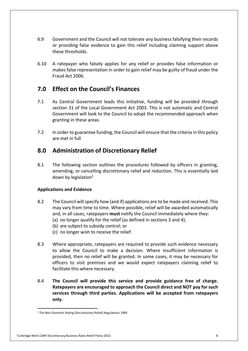- 6.9 Government and the Council will not tolerate any business falsifying their records or providing false evidence to gain this relief including claiming support above these thresholds.
- $6.10$  makes false representation in order to gain relief may be guilty of fraud under the Fraud Act 2006. 6.10 A ratepayer who falsely applies for any relief or provides false information or

## **7.0 Effect on the Council's Finances**

- 7.1 As Central Government leads this initiative, funding will be provided through section 31 of the Local Government Act 2003. This is not automatic and Central Government will look to the Council to adopt the recommended approach when granting in these areas.
- $7.2$  are met in full In order to guarantee funding, the Council will ensure that the criteria in this policy

## **8.0 Administration of Discretionary Relief**

8.1 amending, or cancelling discretionary relief and reduction. This is essentially laid down by legislation $1$ The following section outlines the procedures followed by officers in granting,

## **Applications and Evidence**

- 8.2 The Council will specify how (and if) applications are to be made and received. This may vary from time to time. Where possible, relief will be awarded automatically and, in all cases, ratepayers **must** notify the Council immediately where they:
	- (a) no longer qualify for the relief (as defined in sections 3 and 4);
	- (b) are subject to subsidy control; or
	- (c) no longer wish to receive the relief.
- 8.3 to allow the Council to make a decision. Where insufficient information is provided, then no relief will be granted. In some cases, it may be necessary for officers to visit premises and we would expect ratepayers claiming relief to facilitate this where necessary. Where appropriate, ratepayers are required to provide such evidence necessary
- 8.4 **The Council will provide this service and provide guidance free of charge. Ratepayers are encouraged to approach the Council direct and NOT pay for such services through third parties. Applications will be accepted from ratepayers only.**

<sup>&</sup>lt;sup>1</sup> The Non-Domestic Rating (Discretionary Relief) Regulations 1989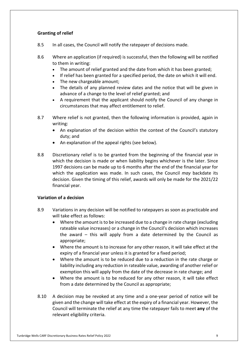## **Granting of relief**

- 8.5 In all cases, the Council will notify the ratepayer of decisions made.
- 8.6 to them in writing: Where an application (if required) is successful, then the following will be notified
	- The amount of relief granted and the date from which it has been granted;
	- If relief has been granted for a specified period, the date on which it will end.
	- The new chargeable amount;
	- • The details of any planned review dates and the notice that will be given in advance of a change to the level of relief granted; and
	- • A requirement that the applicant should notify the Council of any change in circumstances that may affect entitlement to relief.
- 8.7 Where relief is not granted, then the following information is provided, again in writing:
	- • An explanation of the decision within the context of the Council's statutory duty; and
	- An explanation of the appeal rights (see below).
- 8.8 Discretionary relief is to be granted from the beginning of the financial year in which the decision is made or when liability begins whichever is the later. Since 1997 decisions can be made up to 6 months after the end of the financial year for which the application was made. In such cases, the Council *may* backdate its decision. Given the timing of this relief, awards will only be made for the 2021/22 financial year.

#### **Variation of a decision**

- 8.9 Variations in any decision will be notified to ratepayers as soon as practicable and will take effect as follows:
	- • Where the amount is to be increased due to a change in rate charge (excluding rateable value increases) or a change in the Council's decision which increases the award – this will apply from a date determined by the Council as appropriate;
	- • Where the amount is to increase for any other reason, it will take effect at the expiry of a financial year unless it is granted for a fixed period;
	- • Where the amount is to be reduced due to a reduction in the rate charge or liability including any reduction in rateable value, awarding of another relief or exemption this will apply from the date of the decrease in rate charge; and
	- • Where the amount is to be reduced for any other reason, it will take effect from a date determined by the Council as appropriate;
- 8.10 given and the change will take effect at the expiry of a financial year. However, the Council will terminate the relief at any time the ratepayer fails to meet **any** of the relevant eligibility criteria. 8.10 A decision may be revoked at any time and a one-year period of notice will be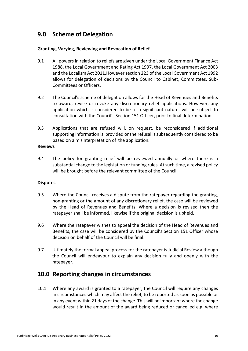# **9.0 Scheme of Delegation**

#### **Granting, Varying, Reviewing and Revocation of Relief**

- $9.1$  1988, the Local Government and Rating Act 1997, the Local Government Act 2003 and the Localism Act 2011.However section 223 of the Local Government Act 1992 allows for delegation of decisions by the Council to Cabinet, Committees, Sub- Committees or Officers. All powers in relation to reliefs are given under the Local Government Finance Act
- 9.2 The Council's scheme of delegation allows for the Head of Revenues and Benefits to award, revise or revoke any discretionary relief applications. However, any application which is considered to be of a significant nature, will be subject to consultation with the Council's Section 151 Officer, prior to final determination.
- 9.3 Applications that are refused will, on request, be reconsidered if additional supporting information is provided or the refusal is subsequently considered to be based on a misinterpretation of the application.

#### **Reviews**

9.4 substantial change to the legislation or funding rules. At such time, a revised policy will be brought before the relevant committee of the Council. The policy for granting relief will be reviewed annually or where there is a

#### **Disputes**

- 9.5 non-granting or the amount of any discretionary relief, the case will be reviewed by the Head of Revenues and Benefits. Where a decision is revised then the ratepayer shall be informed, likewise if the original decision is upheld. Where the Council receives a dispute from the ratepayer regarding the granting.
- 9.6 Benefits, the case will be considered by the Council's Section 151 Officer whose decision on behalf of the Council will be final. Where the ratepayer wishes to appeal the decision of the Head of Revenues and
- 9.7 Ultimately the formal appeal process for the ratepayer is Judicial Review although the Council will endeavour to explain any decision fully and openly with the ratepayer.

# **10.0 Reporting changes in circumstances**

 $10.1$  in circumstances which may affect the relief, to be reported as soon as possible or in any event within 21 days of the change. This will be important where the change would result in the amount of the award being reduced or cancelled e.g. where 10.1 Where any award is granted to a ratepayer, the Council will require any changes